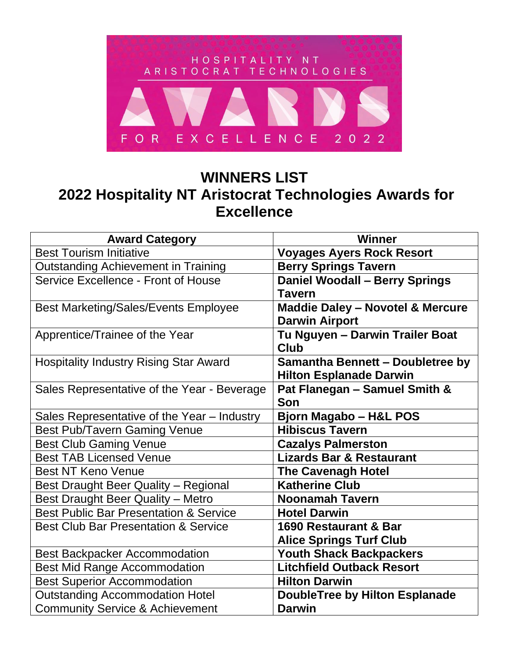

## **WINNERS LIST 2022 Hospitality NT Aristocrat Technologies Awards for Excellence**

| <b>Award Category</b>                             | <b>Winner</b>                               |
|---------------------------------------------------|---------------------------------------------|
| <b>Best Tourism Initiative</b>                    | <b>Voyages Ayers Rock Resort</b>            |
| <b>Outstanding Achievement in Training</b>        | <b>Berry Springs Tavern</b>                 |
| Service Excellence - Front of House               | <b>Daniel Woodall - Berry Springs</b>       |
|                                                   | <b>Tavern</b>                               |
| <b>Best Marketing/Sales/Events Employee</b>       | <b>Maddie Daley - Novotel &amp; Mercure</b> |
|                                                   | <b>Darwin Airport</b>                       |
| Apprentice/Trainee of the Year                    | Tu Nguyen - Darwin Trailer Boat             |
|                                                   | <b>Club</b>                                 |
| <b>Hospitality Industry Rising Star Award</b>     | Samantha Bennett - Doubletree by            |
|                                                   | <b>Hilton Esplanade Darwin</b>              |
| Sales Representative of the Year - Beverage       | Pat Flanegan - Samuel Smith &               |
|                                                   | Son                                         |
| Sales Representative of the Year - Industry       | <b>Bjorn Magabo - H&amp;L POS</b>           |
| <b>Best Pub/Tavern Gaming Venue</b>               | <b>Hibiscus Tavern</b>                      |
| <b>Best Club Gaming Venue</b>                     | <b>Cazalys Palmerston</b>                   |
| <b>Best TAB Licensed Venue</b>                    | <b>Lizards Bar &amp; Restaurant</b>         |
| <b>Best NT Keno Venue</b>                         | <b>The Cavenagh Hotel</b>                   |
| <b>Best Draught Beer Quality - Regional</b>       | <b>Katherine Club</b>                       |
| <b>Best Draught Beer Quality - Metro</b>          | <b>Noonamah Tavern</b>                      |
| <b>Best Public Bar Presentation &amp; Service</b> | <b>Hotel Darwin</b>                         |
| <b>Best Club Bar Presentation &amp; Service</b>   | 1690 Restaurant & Bar                       |
|                                                   | <b>Alice Springs Turf Club</b>              |
| <b>Best Backpacker Accommodation</b>              | <b>Youth Shack Backpackers</b>              |
| <b>Best Mid Range Accommodation</b>               | <b>Litchfield Outback Resort</b>            |
| <b>Best Superior Accommodation</b>                | <b>Hilton Darwin</b>                        |
| <b>Outstanding Accommodation Hotel</b>            | <b>DoubleTree by Hilton Esplanade</b>       |
| <b>Community Service &amp; Achievement</b>        | <b>Darwin</b>                               |